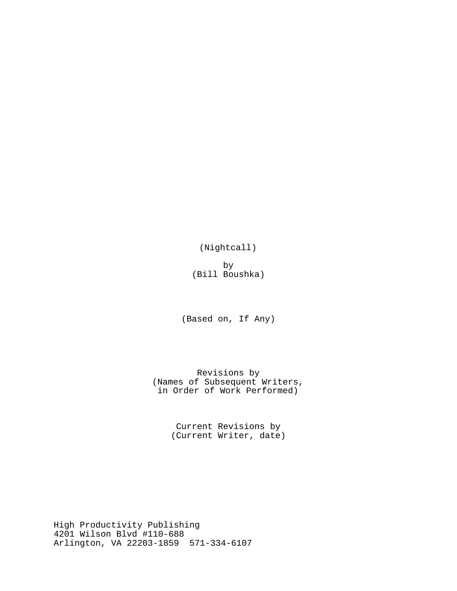(Nightcall)

by (Bill Boushka)

(Based on, If Any)

Revisions by (Names of Subsequent Writers, in Order of Work Performed)

> Current Revisions by (Current Writer, date)

High Productivity Publishing 4201 Wilson Blvd #110-688 Arlington, VA 22203-1859 571-334-6107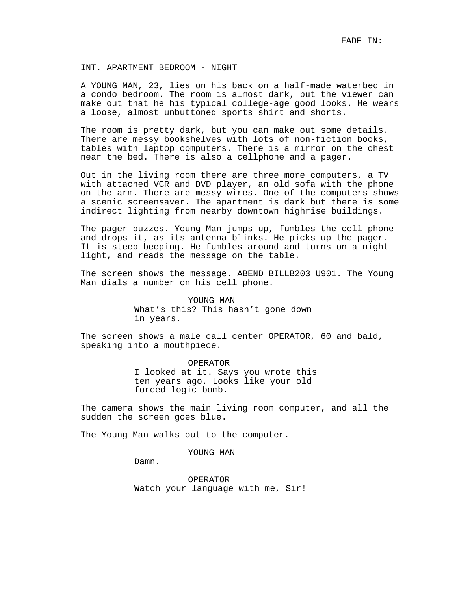## INT. APARTMENT BEDROOM - NIGHT

A YOUNG MAN, 23, lies on his back on a half-made waterbed in a condo bedroom. The room is almost dark, but the viewer can make out that he his typical college-age good looks. He wears a loose, almost unbuttoned sports shirt and shorts.

The room is pretty dark, but you can make out some details. There are messy bookshelves with lots of non-fiction books, tables with laptop computers. There is a mirror on the chest near the bed. There is also a cellphone and a pager.

Out in the living room there are three more computers, a TV with attached VCR and DVD player, an old sofa with the phone on the arm. There are messy wires. One of the computers shows a scenic screensaver. The apartment is dark but there is some indirect lighting from nearby downtown highrise buildings.

The pager buzzes. Young Man jumps up, fumbles the cell phone and drops it, as its antenna blinks. He picks up the pager. It is steep beeping. He fumbles around and turns on a night light, and reads the message on the table.

The screen shows the message. ABEND BILLB203 U901. The Young Man dials a number on his cell phone.

> YOUNG MAN What's this? This hasn't gone down in years.

The screen shows a male call center OPERATOR, 60 and bald, speaking into a mouthpiece.

> OPERATOR I looked at it. Says you wrote this ten years ago. Looks like your old forced logic bomb.

The camera shows the main living room computer, and all the sudden the screen goes blue.

The Young Man walks out to the computer.

YOUNG MAN

Damn.

OPERATOR Watch your language with me, Sir!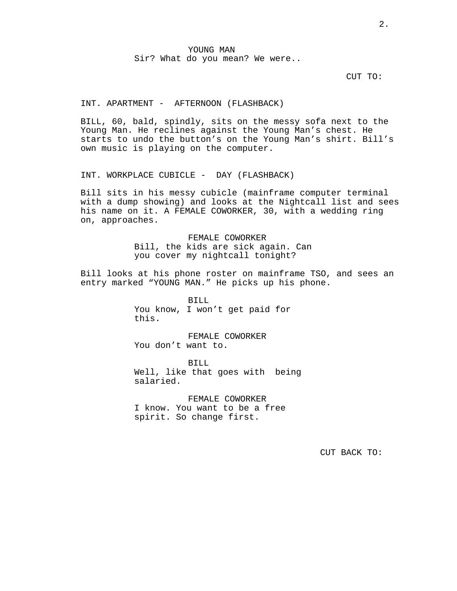# YOUNG MAN Sir? What do you mean? We were..

CUT TO:

#### INT. APARTMENT - AFTERNOON (FLASHBACK)

BILL, 60, bald, spindly, sits on the messy sofa next to the Young Man. He reclines against the Young Man's chest. He starts to undo the button's on the Young Man's shirt. Bill's own music is playing on the computer.

INT. WORKPLACE CUBICLE - DAY (FLASHBACK)

Bill sits in his messy cubicle (mainframe computer terminal with a dump showing) and looks at the Nightcall list and sees his name on it. A FEMALE COWORKER, 30, with a wedding ring on, approaches.

> FEMALE COWORKER Bill, the kids are sick again. Can you cover my nightcall tonight?

Bill looks at his phone roster on mainframe TSO, and sees an entry marked "YOUNG MAN." He picks up his phone.

> BILL You know, I won't get paid for this.

FEMALE COWORKER You don't want to.

BILL Well, like that goes with being salaried.

FEMALE COWORKER I know. You want to be a free spirit. So change first.

CUT BACK TO: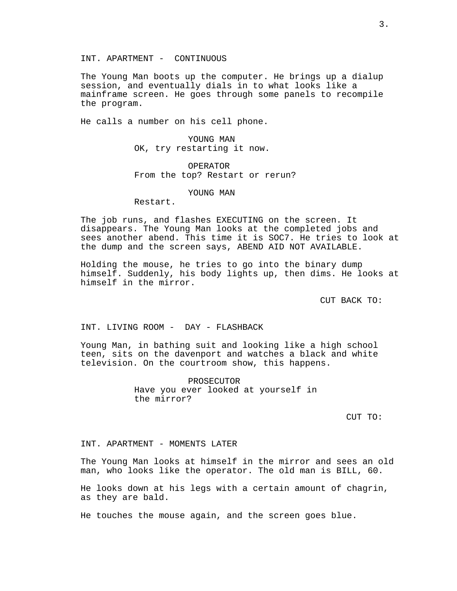INT. APARTMENT - CONTINUOUS

The Young Man boots up the computer. He brings up a dialup session, and eventually dials in to what looks like a mainframe screen. He goes through some panels to recompile the program.

He calls a number on his cell phone.

YOUNG MAN OK, try restarting it now.

OPERATOR From the top? Restart or rerun?

## YOUNG MAN

Restart.

The job runs, and flashes EXECUTING on the screen. It disappears. The Young Man looks at the completed jobs and sees another abend. This time it is SOC7. He tries to look at the dump and the screen says, ABEND AID NOT AVAILABLE.

Holding the mouse, he tries to go into the binary dump himself. Suddenly, his body lights up, then dims. He looks at himself in the mirror.

CUT BACK TO:

INT. LIVING ROOM - DAY - FLASHBACK

Young Man, in bathing suit and looking like a high school teen, sits on the davenport and watches a black and white television. On the courtroom show, this happens.

> PROSECUTOR Have you ever looked at yourself in the mirror?

> > CUT TO:

INT. APARTMENT - MOMENTS LATER

The Young Man looks at himself in the mirror and sees an old man, who looks like the operator. The old man is BILL, 60.

He looks down at his legs with a certain amount of chagrin, as they are bald.

He touches the mouse again, and the screen goes blue.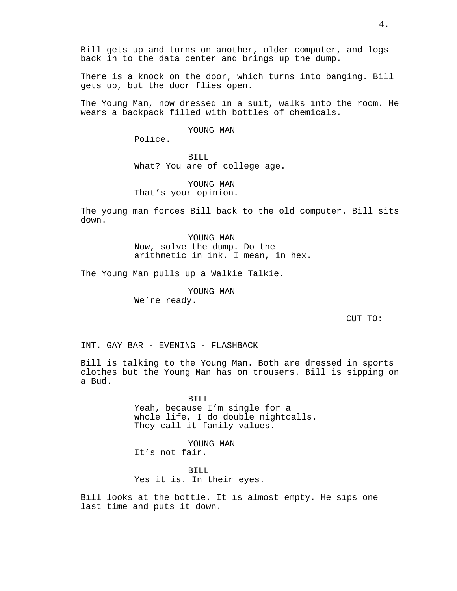Bill gets up and turns on another, older computer, and logs back in to the data center and brings up the dump.

There is a knock on the door, which turns into banging. Bill gets up, but the door flies open.

The Young Man, now dressed in a suit, walks into the room. He wears a backpack filled with bottles of chemicals.

### YOUNG MAN

Police.

BILL What? You are of college age.

YOUNG MAN That's your opinion.

The young man forces Bill back to the old computer. Bill sits down.

> YOUNG MAN Now, solve the dump. Do the arithmetic in ink. I mean, in hex.

The Young Man pulls up a Walkie Talkie.

YOUNG MAN We're ready.

CUT TO:

INT. GAY BAR - EVENING - FLASHBACK

Bill is talking to the Young Man. Both are dressed in sports clothes but the Young Man has on trousers. Bill is sipping on a Bud.

> BILL Yeah, because I'm single for a whole life, I do double nightcalls. They call it family values.

YOUNG MAN It's not fair.

BILL Yes it is. In their eyes.

Bill looks at the bottle. It is almost empty. He sips one last time and puts it down.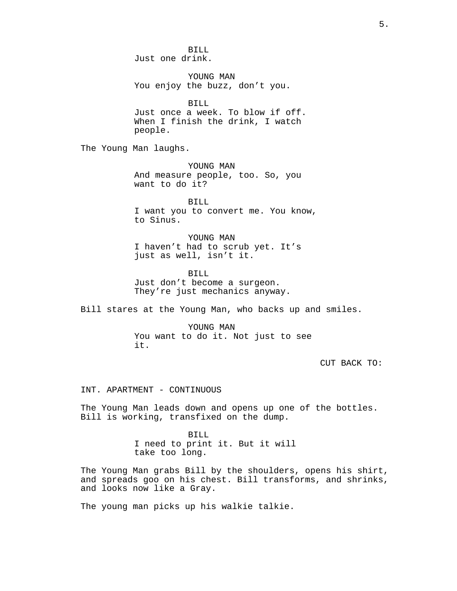BILL Just one drink.

YOUNG MAN You enjoy the buzz, don't you.

BILL Just once a week. To blow if off. When I finish the drink, I watch people.

The Young Man laughs.

YOUNG MAN And measure people, too. So, you want to do it?

BILL I want you to convert me. You know, to Sinus.

YOUNG MAN I haven't had to scrub yet. It's just as well, isn't it.

BILL Just don't become a surgeon. They're just mechanics anyway.

Bill stares at the Young Man, who backs up and smiles.

YOUNG MAN You want to do it. Not just to see it.

CUT BACK TO:

INT. APARTMENT - CONTINUOUS

The Young Man leads down and opens up one of the bottles. Bill is working, transfixed on the dump.

> BILL I need to print it. But it will take too long.

The Young Man grabs Bill by the shoulders, opens his shirt, and spreads goo on his chest. Bill transforms, and shrinks, and looks now like a Gray.

The young man picks up his walkie talkie.